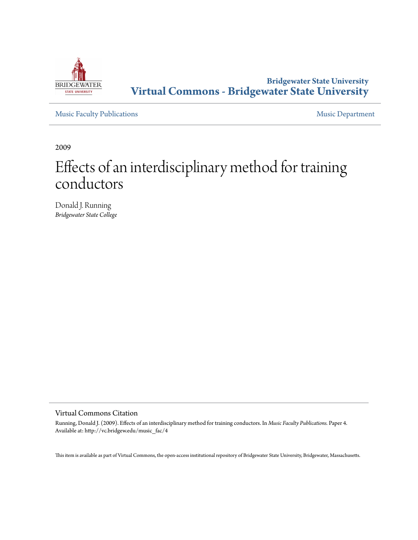

# **Bridgewater State University [Virtual Commons - Bridgewater State University](http://vc.bridgew.edu)**

[Music Faculty Publications](http://vc.bridgew.edu/music_fac) **[Music Department](http://vc.bridgew.edu/music)** 

2009

# Effects of an interdisciplinary method for training conductors

Donald J. Running *Bridgewater State College*

Virtual Commons Citation

Running, Donald J. (2009). Effects of an interdisciplinary method for training conductors. In *Music Faculty Publications.* Paper 4. Available at: http://vc.bridgew.edu/music\_fac/4

This item is available as part of Virtual Commons, the open-access institutional repository of Bridgewater State University, Bridgewater, Massachusetts.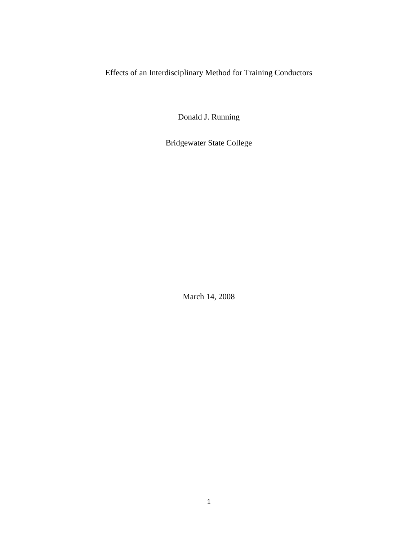Effects of an Interdisciplinary Method for Training Conductors

Donald J. Running

Bridgewater State College

March 14, 2008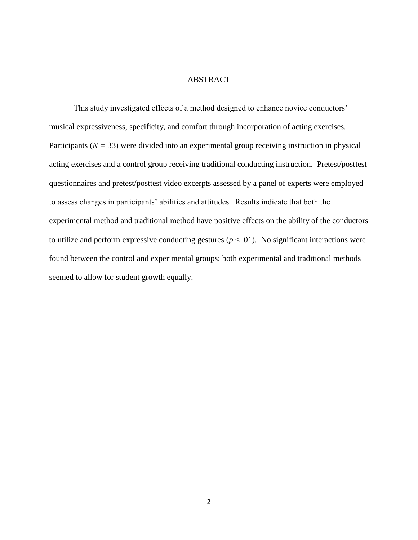# ABSTRACT

This study investigated effects of a method designed to enhance novice conductors' musical expressiveness, specificity, and comfort through incorporation of acting exercises. Participants (*N =* 33) were divided into an experimental group receiving instruction in physical acting exercises and a control group receiving traditional conducting instruction. Pretest/posttest questionnaires and pretest/posttest video excerpts assessed by a panel of experts were employed to assess changes in participants" abilities and attitudes. Results indicate that both the experimental method and traditional method have positive effects on the ability of the conductors to utilize and perform expressive conducting gestures  $(p < .01)$ . No significant interactions were found between the control and experimental groups; both experimental and traditional methods seemed to allow for student growth equally.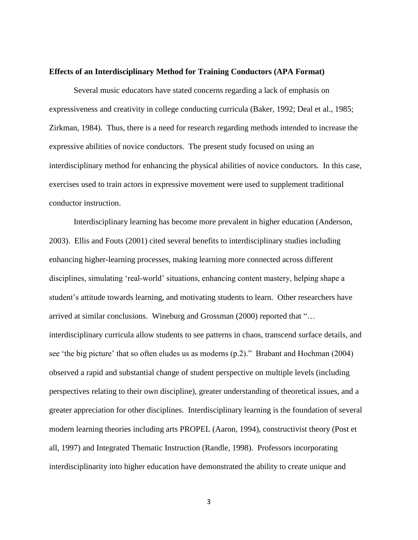#### **Effects of an Interdisciplinary Method for Training Conductors (APA Format)**

Several music educators have stated concerns regarding a lack of emphasis on expressiveness and creativity in college conducting curricula (Baker, 1992; Deal et al., 1985; Zirkman, 1984). Thus, there is a need for research regarding methods intended to increase the expressive abilities of novice conductors. The present study focused on using an interdisciplinary method for enhancing the physical abilities of novice conductors. In this case, exercises used to train actors in expressive movement were used to supplement traditional conductor instruction.

Interdisciplinary learning has become more prevalent in higher education (Anderson, 2003). Ellis and Fouts (2001) cited several benefits to interdisciplinary studies including enhancing higher-learning processes, making learning more connected across different disciplines, simulating "real-world" situations, enhancing content mastery, helping shape a student's attitude towards learning, and motivating students to learn. Other researchers have arrived at similar conclusions. Wineburg and Grossman (2000) reported that "… interdisciplinary curricula allow students to see patterns in chaos, transcend surface details, and see 'the big picture' that so often eludes us as moderns (p.2)." Brabant and Hochman (2004) observed a rapid and substantial change of student perspective on multiple levels (including perspectives relating to their own discipline), greater understanding of theoretical issues, and a greater appreciation for other disciplines. Interdisciplinary learning is the foundation of several modern learning theories including arts PROPEL (Aaron, 1994), constructivist theory (Post et all, 1997) and Integrated Thematic Instruction (Randle, 1998). Professors incorporating interdisciplinarity into higher education have demonstrated the ability to create unique and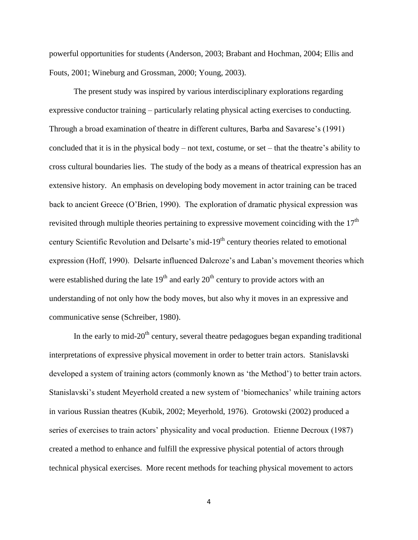powerful opportunities for students (Anderson, 2003; Brabant and Hochman, 2004; Ellis and Fouts, 2001; Wineburg and Grossman, 2000; Young, 2003).

The present study was inspired by various interdisciplinary explorations regarding expressive conductor training – particularly relating physical acting exercises to conducting. Through a broad examination of theatre in different cultures, Barba and Savarese"s (1991) concluded that it is in the physical body – not text, costume, or set – that the theatre"s ability to cross cultural boundaries lies. The study of the body as a means of theatrical expression has an extensive history. An emphasis on developing body movement in actor training can be traced back to ancient Greece (O"Brien, 1990). The exploration of dramatic physical expression was revisited through multiple theories pertaining to expressive movement coinciding with the  $17<sup>th</sup>$ century Scientific Revolution and Delsarte's mid-19<sup>th</sup> century theories related to emotional expression (Hoff, 1990). Delsarte influenced Dalcroze"s and Laban"s movement theories which were established during the late  $19<sup>th</sup>$  and early  $20<sup>th</sup>$  century to provide actors with an understanding of not only how the body moves, but also why it moves in an expressive and communicative sense (Schreiber, 1980).

In the early to mid-20<sup>th</sup> century, several theatre pedagogues began expanding traditional interpretations of expressive physical movement in order to better train actors. Stanislavski developed a system of training actors (commonly known as "the Method") to better train actors. Stanislavski's student Meyerhold created a new system of 'biomechanics' while training actors in various Russian theatres (Kubik, 2002; Meyerhold, 1976). Grotowski (2002) produced a series of exercises to train actors" physicality and vocal production. Etienne Decroux (1987) created a method to enhance and fulfill the expressive physical potential of actors through technical physical exercises. More recent methods for teaching physical movement to actors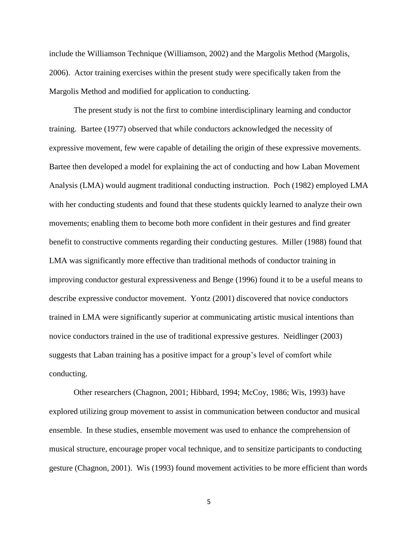include the Williamson Technique (Williamson, 2002) and the Margolis Method (Margolis, 2006). Actor training exercises within the present study were specifically taken from the Margolis Method and modified for application to conducting.

The present study is not the first to combine interdisciplinary learning and conductor training. Bartee (1977) observed that while conductors acknowledged the necessity of expressive movement, few were capable of detailing the origin of these expressive movements. Bartee then developed a model for explaining the act of conducting and how Laban Movement Analysis (LMA) would augment traditional conducting instruction. Poch (1982) employed LMA with her conducting students and found that these students quickly learned to analyze their own movements; enabling them to become both more confident in their gestures and find greater benefit to constructive comments regarding their conducting gestures. Miller (1988) found that LMA was significantly more effective than traditional methods of conductor training in improving conductor gestural expressiveness and Benge (1996) found it to be a useful means to describe expressive conductor movement. Yontz (2001) discovered that novice conductors trained in LMA were significantly superior at communicating artistic musical intentions than novice conductors trained in the use of traditional expressive gestures. Neidlinger (2003) suggests that Laban training has a positive impact for a group"s level of comfort while conducting.

Other researchers (Chagnon, 2001; Hibbard, 1994; McCoy, 1986; Wis, 1993) have explored utilizing group movement to assist in communication between conductor and musical ensemble. In these studies, ensemble movement was used to enhance the comprehension of musical structure, encourage proper vocal technique, and to sensitize participants to conducting gesture (Chagnon, 2001). Wis (1993) found movement activities to be more efficient than words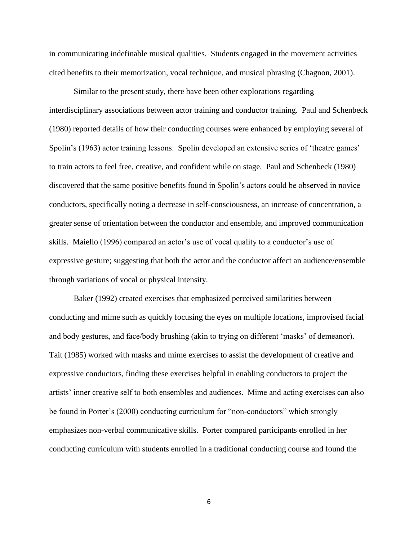in communicating indefinable musical qualities. Students engaged in the movement activities cited benefits to their memorization, vocal technique, and musical phrasing (Chagnon, 2001).

Similar to the present study, there have been other explorations regarding interdisciplinary associations between actor training and conductor training. Paul and Schenbeck (1980) reported details of how their conducting courses were enhanced by employing several of Spolin's (1963) actor training lessons. Spolin developed an extensive series of 'theatre games' to train actors to feel free, creative, and confident while on stage. Paul and Schenbeck (1980) discovered that the same positive benefits found in Spolin"s actors could be observed in novice conductors, specifically noting a decrease in self-consciousness, an increase of concentration, a greater sense of orientation between the conductor and ensemble, and improved communication skills. Maiello (1996) compared an actor's use of vocal quality to a conductor's use of expressive gesture; suggesting that both the actor and the conductor affect an audience/ensemble through variations of vocal or physical intensity.

Baker (1992) created exercises that emphasized perceived similarities between conducting and mime such as quickly focusing the eyes on multiple locations, improvised facial and body gestures, and face/body brushing (akin to trying on different "masks" of demeanor). Tait (1985) worked with masks and mime exercises to assist the development of creative and expressive conductors, finding these exercises helpful in enabling conductors to project the artists" inner creative self to both ensembles and audiences. Mime and acting exercises can also be found in Porter"s (2000) conducting curriculum for "non-conductors" which strongly emphasizes non-verbal communicative skills. Porter compared participants enrolled in her conducting curriculum with students enrolled in a traditional conducting course and found the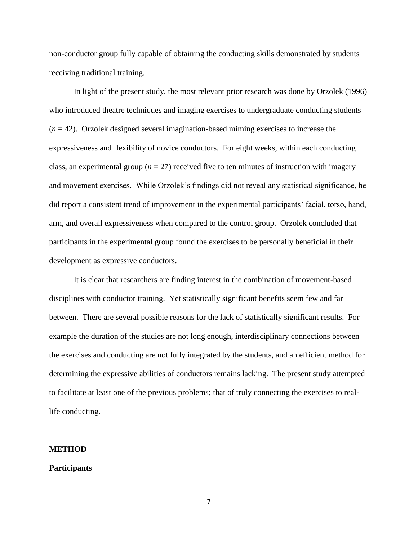non-conductor group fully capable of obtaining the conducting skills demonstrated by students receiving traditional training.

In light of the present study, the most relevant prior research was done by Orzolek (1996) who introduced theatre techniques and imaging exercises to undergraduate conducting students (*n* = 42). Orzolek designed several imagination-based miming exercises to increase the expressiveness and flexibility of novice conductors. For eight weeks, within each conducting class, an experimental group ( $n = 27$ ) received five to ten minutes of instruction with imagery and movement exercises. While Orzolek"s findings did not reveal any statistical significance, he did report a consistent trend of improvement in the experimental participants" facial, torso, hand, arm, and overall expressiveness when compared to the control group. Orzolek concluded that participants in the experimental group found the exercises to be personally beneficial in their development as expressive conductors.

It is clear that researchers are finding interest in the combination of movement-based disciplines with conductor training. Yet statistically significant benefits seem few and far between. There are several possible reasons for the lack of statistically significant results. For example the duration of the studies are not long enough, interdisciplinary connections between the exercises and conducting are not fully integrated by the students, and an efficient method for determining the expressive abilities of conductors remains lacking. The present study attempted to facilitate at least one of the previous problems; that of truly connecting the exercises to reallife conducting.

#### **METHOD**

#### **Participants**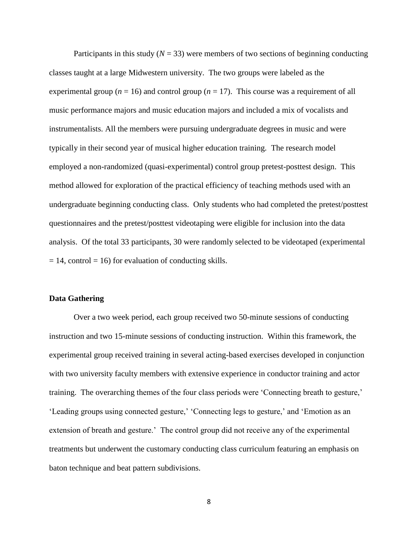Participants in this study  $(N = 33)$  were members of two sections of beginning conducting classes taught at a large Midwestern university. The two groups were labeled as the experimental group ( $n = 16$ ) and control group ( $n = 17$ ). This course was a requirement of all music performance majors and music education majors and included a mix of vocalists and instrumentalists. All the members were pursuing undergraduate degrees in music and were typically in their second year of musical higher education training. The research model employed a non-randomized (quasi-experimental) control group pretest-posttest design. This method allowed for exploration of the practical efficiency of teaching methods used with an undergraduate beginning conducting class. Only students who had completed the pretest/posttest questionnaires and the pretest/posttest videotaping were eligible for inclusion into the data analysis. Of the total 33 participants, 30 were randomly selected to be videotaped (experimental  $= 14$ , control  $= 16$ ) for evaluation of conducting skills.

#### **Data Gathering**

Over a two week period, each group received two 50-minute sessions of conducting instruction and two 15-minute sessions of conducting instruction. Within this framework, the experimental group received training in several acting-based exercises developed in conjunction with two university faculty members with extensive experience in conductor training and actor training. The overarching themes of the four class periods were 'Connecting breath to gesture,' "Leading groups using connected gesture," "Connecting legs to gesture," and "Emotion as an extension of breath and gesture.' The control group did not receive any of the experimental treatments but underwent the customary conducting class curriculum featuring an emphasis on baton technique and beat pattern subdivisions.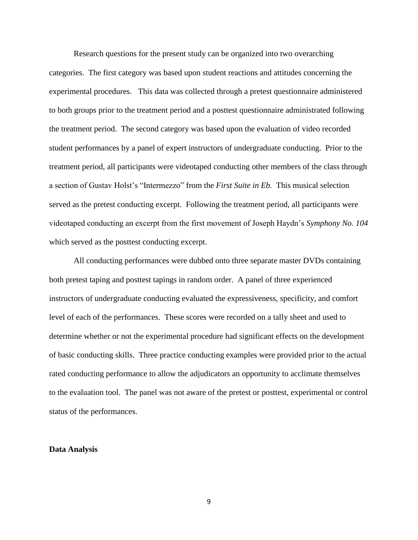Research questions for the present study can be organized into two overarching categories. The first category was based upon student reactions and attitudes concerning the experimental procedures. This data was collected through a pretest questionnaire administered to both groups prior to the treatment period and a posttest questionnaire administrated following the treatment period. The second category was based upon the evaluation of video recorded student performances by a panel of expert instructors of undergraduate conducting. Prior to the treatment period, all participants were videotaped conducting other members of the class through a section of Gustav Holst"s "Intermezzo" from the *First Suite in Eb.* This musical selection served as the pretest conducting excerpt. Following the treatment period, all participants were videotaped conducting an excerpt from the first movement of Joseph Haydn"s *Symphony No. 104* which served as the posttest conducting excerpt.

All conducting performances were dubbed onto three separate master DVDs containing both pretest taping and posttest tapings in random order. A panel of three experienced instructors of undergraduate conducting evaluated the expressiveness, specificity, and comfort level of each of the performances. These scores were recorded on a tally sheet and used to determine whether or not the experimental procedure had significant effects on the development of basic conducting skills. Three practice conducting examples were provided prior to the actual rated conducting performance to allow the adjudicators an opportunity to acclimate themselves to the evaluation tool. The panel was not aware of the pretest or posttest, experimental or control status of the performances.

#### **Data Analysis**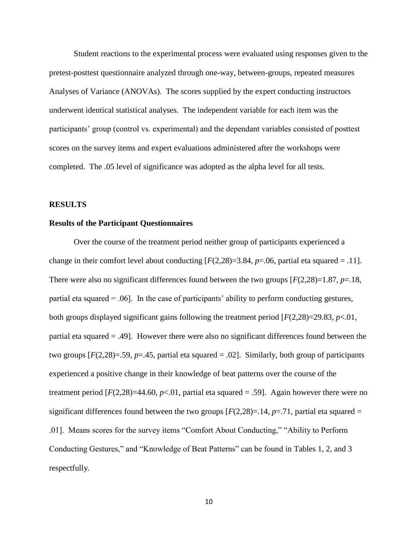Student reactions to the experimental process were evaluated using responses given to the pretest-posttest questionnaire analyzed through one-way, between-groups, repeated measures Analyses of Variance (ANOVAs). The scores supplied by the expert conducting instructors underwent identical statistical analyses. The independent variable for each item was the participants" group (control vs. experimental) and the dependant variables consisted of posttest scores on the survey items and expert evaluations administered after the workshops were completed. The .05 level of significance was adopted as the alpha level for all tests.

## **RESULTS**

### **Results of the Participant Questionnaires**

Over the course of the treatment period neither group of participants experienced a change in their comfort level about conducting  $[F(2,28)=3.84, p=.06$ , partial eta squared = .11]. There were also no significant differences found between the two groups [*F*(2,28)=1.87, *p*=.18, partial eta squared  $= .06$ . In the case of participants' ability to perform conducting gestures, both groups displayed significant gains following the treatment period [*F*(2,28)=29.83, *p*<.01, partial eta squared = .49]. However there were also no significant differences found between the two groups  $[F(2,28)=0.59, p=.45,$  partial eta squared  $= 0.02$ . Similarly, both group of participants experienced a positive change in their knowledge of beat patterns over the course of the treatment period [*F*(2,28)=44.60, *p*<.01, partial eta squared = .59]. Again however there were no significant differences found between the two groups  $[F(2,28)=0.14, p=.71$ , partial eta squared = .01]. Means scores for the survey items "Comfort About Conducting," "Ability to Perform Conducting Gestures," and "Knowledge of Beat Patterns" can be found in Tables 1, 2, and 3 respectfully.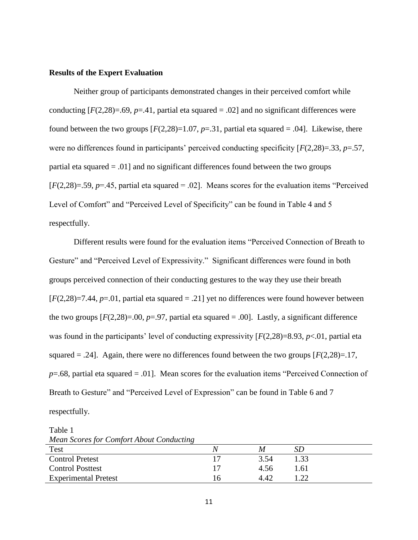## **Results of the Expert Evaluation**

Neither group of participants demonstrated changes in their perceived comfort while conducting  $[F(2,28)=0.69, p=.41,$  partial eta squared  $= .02$ ] and no significant differences were found between the two groups  $[F(2,28)=1.07, p=.31$ , partial eta squared = .04]. Likewise, there were no differences found in participants' perceived conducting specificity  $[F(2,28)=33, p=.57,$ partial eta squared = .01] and no significant differences found between the two groups [*F*(2,28)=.59, *p*=.45, partial eta squared = .02]. Means scores for the evaluation items "Perceived Level of Comfort" and "Perceived Level of Specificity" can be found in Table 4 and 5 respectfully.

Different results were found for the evaluation items "Perceived Connection of Breath to Gesture" and "Perceived Level of Expressivity." Significant differences were found in both groups perceived connection of their conducting gestures to the way they use their breath  $[F(2,28)=7.44, p=.01$ , partial eta squared  $=.21$ ] yet no differences were found however between the two groups  $[F(2,28)=0.0, p=.97$ , partial eta squared  $= .00$ . Lastly, a significant difference was found in the participants' level of conducting expressivity  $[F(2,28)=8.93, p<0.01]$ , partial eta squared  $= .24$ ]. Again, there were no differences found between the two groups  $[F(2,28)=.17,$ *p*=.68, partial eta squared = .01]. Mean scores for the evaluation items "Perceived Connection of Breath to Gesture" and "Perceived Level of Expression" can be found in Table 6 and 7 respectfully.

Table 1 *Mean Scores for Comfort About Conducting*

| Test                        | M    | SE   |
|-----------------------------|------|------|
| <b>Control Pretest</b>      | 3.54 | 1.33 |
| <b>Control Posttest</b>     | 4.56 | 1.61 |
| <b>Experimental Pretest</b> | 4.42 | ാറ   |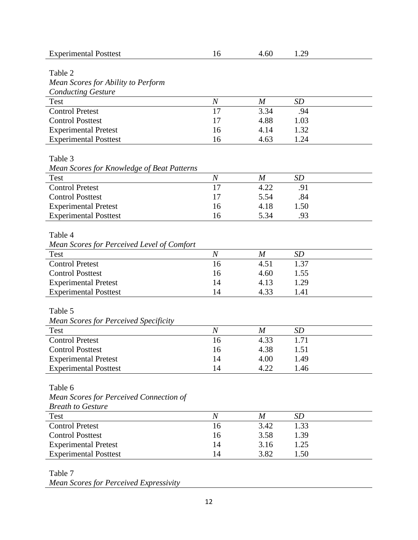| <b>Experimental Posttest</b>                 | 16                     | 4.60             | 1.29      |
|----------------------------------------------|------------------------|------------------|-----------|
|                                              |                        |                  |           |
| Table 2                                      |                        |                  |           |
| Mean Scores for Ability to Perform           |                        |                  |           |
| <b>Conducting Gesture</b>                    |                        |                  |           |
| Test                                         | $\boldsymbol{N}$       | $\boldsymbol{M}$ | <b>SD</b> |
| <b>Control Pretest</b>                       | 17                     | 3.34             | .94       |
| <b>Control Posttest</b>                      | 17                     | 4.88             | 1.03      |
| <b>Experimental Pretest</b>                  | 16                     | 4.14             | 1.32      |
| <b>Experimental Posttest</b>                 | 16                     | 4.63             | 1.24      |
| Table 3                                      |                        |                  |           |
|                                              |                        |                  |           |
| Mean Scores for Knowledge of Beat Patterns   |                        | $\boldsymbol{M}$ | <b>SD</b> |
| <b>Test</b><br><b>Control Pretest</b>        | $\boldsymbol{N}$<br>17 | 4.22             |           |
| <b>Control Posttest</b>                      |                        |                  | .91       |
|                                              | 17                     | 5.54             | .84       |
| <b>Experimental Pretest</b>                  | 16                     | 4.18             | 1.50      |
| <b>Experimental Posttest</b>                 | 16                     | 5.34             | .93       |
| Table 4                                      |                        |                  |           |
|                                              |                        |                  |           |
| Mean Scores for Perceived Level of Comfort   |                        |                  |           |
| <b>Test</b>                                  | $\boldsymbol{N}$       | $\overline{M}$   | SD        |
| <b>Control Pretest</b>                       | 16                     | 4.51             | 1.37      |
| <b>Control Posttest</b>                      | 16                     | 4.60             | 1.55      |
| <b>Experimental Pretest</b>                  | 14                     | 4.13             | 1.29      |
| <b>Experimental Posttest</b>                 | 14                     | 4.33             | 1.41      |
|                                              |                        |                  |           |
| Table 5                                      |                        |                  |           |
| <b>Mean Scores for Perceived Specificity</b> |                        |                  |           |
| Test                                         | $\boldsymbol{N}$       | $\boldsymbol{M}$ | <b>SD</b> |
| <b>Control Pretest</b>                       | 16                     | 4.33             | 1.71      |
| <b>Control Posttest</b>                      | 16                     | 4.38             | 1.51      |
| <b>Experimental Pretest</b>                  | 14                     | 4.00             | 1.49      |
| <b>Experimental Posttest</b>                 | 14                     | 4.22             | 1.46      |
| Table 6                                      |                        |                  |           |
| Mean Scores for Perceived Connection of      |                        |                  |           |
| <b>Breath to Gesture</b>                     |                        |                  |           |
| Test                                         | $\boldsymbol{N}$       | M                | SD        |
| <b>Control Pretest</b>                       | 16                     | 3.42             | 1.33      |
| <b>Control Posttest</b>                      |                        |                  |           |
|                                              | 16                     | 3.58             | 1.39      |
| <b>Experimental Pretest</b>                  | 14                     | 3.16             | 1.25      |
| <b>Experimental Posttest</b>                 | 14                     | 3.82             | 1.50      |
| Table 7                                      |                        |                  |           |
|                                              |                        |                  |           |

*Mean Scores for Perceived Expressivity*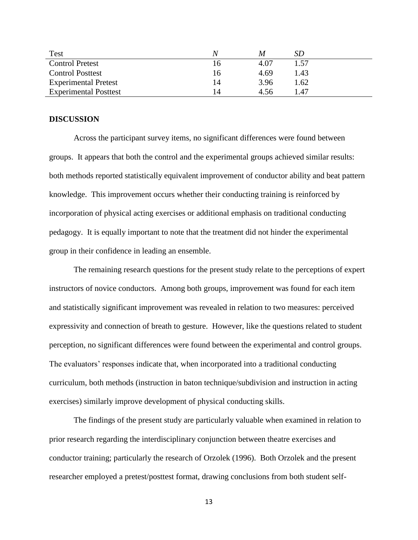| Test                         |    | M    | SD   |
|------------------------------|----|------|------|
| <b>Control Pretest</b>       |    | 4.07 | 1.57 |
| <b>Control Posttest</b>      | 16 | 4.69 | 1.43 |
| <b>Experimental Pretest</b>  | 14 | 3.96 | 1.62 |
| <b>Experimental Posttest</b> | 14 | 4.56 | l 47 |

## **DISCUSSION**

Across the participant survey items, no significant differences were found between groups. It appears that both the control and the experimental groups achieved similar results: both methods reported statistically equivalent improvement of conductor ability and beat pattern knowledge. This improvement occurs whether their conducting training is reinforced by incorporation of physical acting exercises or additional emphasis on traditional conducting pedagogy. It is equally important to note that the treatment did not hinder the experimental group in their confidence in leading an ensemble.

The remaining research questions for the present study relate to the perceptions of expert instructors of novice conductors. Among both groups, improvement was found for each item and statistically significant improvement was revealed in relation to two measures: perceived expressivity and connection of breath to gesture. However, like the questions related to student perception, no significant differences were found between the experimental and control groups. The evaluators' responses indicate that, when incorporated into a traditional conducting curriculum, both methods (instruction in baton technique/subdivision and instruction in acting exercises) similarly improve development of physical conducting skills.

The findings of the present study are particularly valuable when examined in relation to prior research regarding the interdisciplinary conjunction between theatre exercises and conductor training; particularly the research of Orzolek (1996). Both Orzolek and the present researcher employed a pretest/posttest format, drawing conclusions from both student self-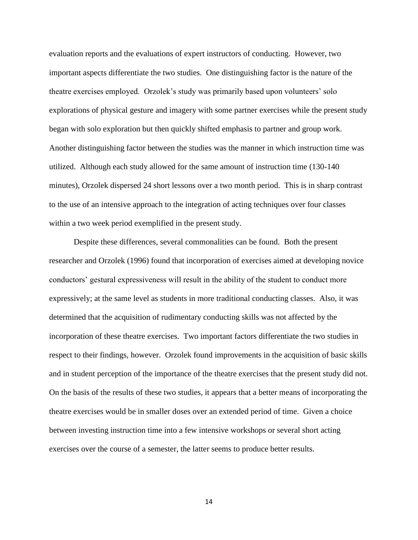evaluation reports and the evaluations of expert instructors of conducting. However, two important aspects differentiate the two studies. One distinguishing factor is the nature of the theatre exercises employed. Orzolek"s study was primarily based upon volunteers" solo explorations of physical gesture and imagery with some partner exercises while the present study began with solo exploration but then quickly shifted emphasis to partner and group work. Another distinguishing factor between the studies was the manner in which instruction time was utilized. Although each study allowed for the same amount of instruction time (130-140 minutes), Orzolek dispersed 24 short lessons over a two month period. This is in sharp contrast to the use of an intensive approach to the integration of acting techniques over four classes within a two week period exemplified in the present study.

Despite these differences, several commonalities can be found. Both the present researcher and Orzolek (1996) found that incorporation of exercises aimed at developing novice conductors" gestural expressiveness will result in the ability of the student to conduct more expressively; at the same level as students in more traditional conducting classes. Also, it was determined that the acquisition of rudimentary conducting skills was not affected by the incorporation of these theatre exercises. Two important factors differentiate the two studies in respect to their findings, however. Orzolek found improvements in the acquisition of basic skills and in student perception of the importance of the theatre exercises that the present study did not. On the basis of the results of these two studies, it appears that a better means of incorporating the theatre exercises would be in smaller doses over an extended period of time. Given a choice between investing instruction time into a few intensive workshops or several short acting exercises over the course of a semester, the latter seems to produce better results.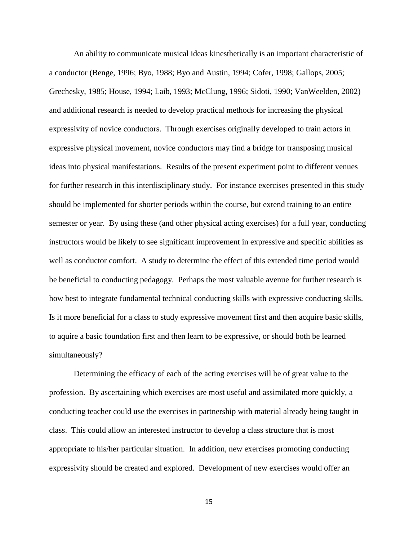An ability to communicate musical ideas kinesthetically is an important characteristic of a conductor (Benge, 1996; Byo, 1988; Byo and Austin, 1994; Cofer, 1998; Gallops, 2005; Grechesky, 1985; House, 1994; Laib, 1993; McClung, 1996; Sidoti, 1990; VanWeelden, 2002) and additional research is needed to develop practical methods for increasing the physical expressivity of novice conductors. Through exercises originally developed to train actors in expressive physical movement, novice conductors may find a bridge for transposing musical ideas into physical manifestations. Results of the present experiment point to different venues for further research in this interdisciplinary study. For instance exercises presented in this study should be implemented for shorter periods within the course, but extend training to an entire semester or year. By using these (and other physical acting exercises) for a full year, conducting instructors would be likely to see significant improvement in expressive and specific abilities as well as conductor comfort. A study to determine the effect of this extended time period would be beneficial to conducting pedagogy. Perhaps the most valuable avenue for further research is how best to integrate fundamental technical conducting skills with expressive conducting skills. Is it more beneficial for a class to study expressive movement first and then acquire basic skills, to aquire a basic foundation first and then learn to be expressive, or should both be learned simultaneously?

Determining the efficacy of each of the acting exercises will be of great value to the profession. By ascertaining which exercises are most useful and assimilated more quickly, a conducting teacher could use the exercises in partnership with material already being taught in class. This could allow an interested instructor to develop a class structure that is most appropriate to his/her particular situation. In addition, new exercises promoting conducting expressivity should be created and explored. Development of new exercises would offer an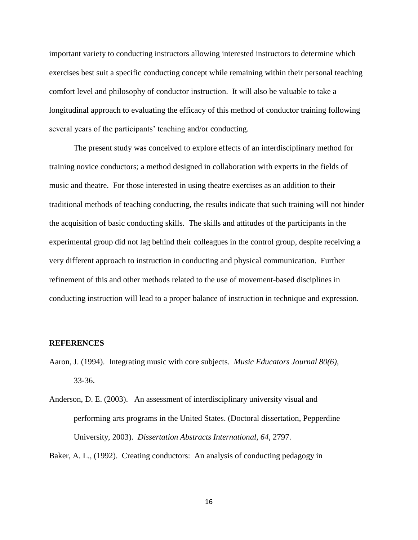important variety to conducting instructors allowing interested instructors to determine which exercises best suit a specific conducting concept while remaining within their personal teaching comfort level and philosophy of conductor instruction. It will also be valuable to take a longitudinal approach to evaluating the efficacy of this method of conductor training following several years of the participants' teaching and/or conducting.

The present study was conceived to explore effects of an interdisciplinary method for training novice conductors; a method designed in collaboration with experts in the fields of music and theatre. For those interested in using theatre exercises as an addition to their traditional methods of teaching conducting, the results indicate that such training will not hinder the acquisition of basic conducting skills. The skills and attitudes of the participants in the experimental group did not lag behind their colleagues in the control group, despite receiving a very different approach to instruction in conducting and physical communication. Further refinement of this and other methods related to the use of movement-based disciplines in conducting instruction will lead to a proper balance of instruction in technique and expression.

## **REFERENCES**

- Aaron, J. (1994). Integrating music with core subjects. *Music Educators Journal 80(6),*  33-36.
- Anderson, D. E. (2003). An assessment of interdisciplinary university visual and performing arts programs in the United States. (Doctoral dissertation, Pepperdine University, 2003). *Dissertation Abstracts International, 64*, 2797.

Baker, A. L., (1992). Creating conductors: An analysis of conducting pedagogy in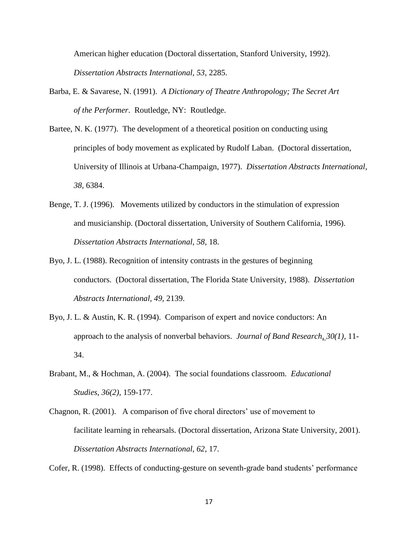American higher education (Doctoral dissertation, Stanford University, 1992). *Dissertation Abstracts International, 53,* 2285.

- Barba, E. & Savarese, N. (1991). *A Dictionary of Theatre Anthropology; The Secret Art of the Performer*. Routledge, NY: Routledge.
- Bartee, N. K. (1977). The development of a theoretical position on conducting using principles of body movement as explicated by Rudolf Laban. (Doctoral dissertation, University of Illinois at Urbana-Champaign, 1977). *Dissertation Abstracts International, 38*, 6384.
- Benge, T. J. (1996). Movements utilized by conductors in the stimulation of expression and musicianship. (Doctoral dissertation, University of Southern California, 1996). *Dissertation Abstracts International, 58*, 18.
- Byo, J. L. (1988). Recognition of intensity contrasts in the gestures of beginning conductors. (Doctoral dissertation, The Florida State University, 1988). *Dissertation Abstracts International, 49,* 2139.
- Byo, J. L. & Austin, K. R. (1994). Comparison of expert and novice conductors: An approach to the analysis of nonverbal behaviors. *Journal of Band Research*, *30(1)*, 11- 34.
- Brabant, M., & Hochman, A. (2004). The social foundations classroom. *Educational Studies, 36(2)*, 159-177.
- Chagnon, R.  $(2001)$ . A comparison of five choral directors' use of movement to facilitate learning in rehearsals. (Doctoral dissertation, Arizona State University, 2001). *Dissertation Abstracts International, 62*, 17.

Cofer, R. (1998). Effects of conducting-gesture on seventh-grade band students" performance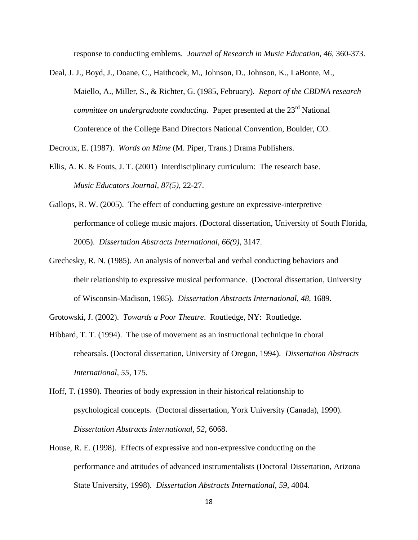response to conducting emblems. *Journal of Research in Music Education, 46,* 360-373.

Deal, J. J., Boyd, J., Doane, C., Haithcock, M., Johnson, D., Johnson, K., LaBonte, M., Maiello, A., Miller, S., & Richter, G. (1985, February). *Report of the CBDNA research committee on undergraduate conducting.* Paper presented at the 23<sup>rd</sup> National Conference of the College Band Directors National Convention, Boulder, CO.

Decroux, E. (1987). *Words on Mime* (M. Piper, Trans.) Drama Publishers.

- Ellis, A. K. & Fouts, J. T. (2001) Interdisciplinary curriculum: The research base. *Music Educators Journal, 87(5)*, 22-27.
- Gallops, R. W. (2005). The effect of conducting gesture on expressive-interpretive performance of college music majors. (Doctoral dissertation, University of South Florida, 2005). *Dissertation Abstracts International, 66(9),* 3147.
- Grechesky, R. N. (1985). An analysis of nonverbal and verbal conducting behaviors and their relationship to expressive musical performance. (Doctoral dissertation, University of Wisconsin-Madison, 1985). *Dissertation Abstracts International, 48,* 1689.

Grotowski, J. (2002). *Towards a Poor Theatre*. Routledge, NY: Routledge.

- Hibbard, T. T. (1994). The use of movement as an instructional technique in choral rehearsals. (Doctoral dissertation, University of Oregon, 1994). *Dissertation Abstracts International, 55*, 175.
- Hoff, T. (1990). Theories of body expression in their historical relationship to psychological concepts. (Doctoral dissertation, York University (Canada), 1990). *Dissertation Abstracts International, 52,* 6068.
- House, R. E. (1998). Effects of expressive and non-expressive conducting on the performance and attitudes of advanced instrumentalists (Doctoral Dissertation, Arizona State University, 1998). *Dissertation Abstracts International, 59,* 4004.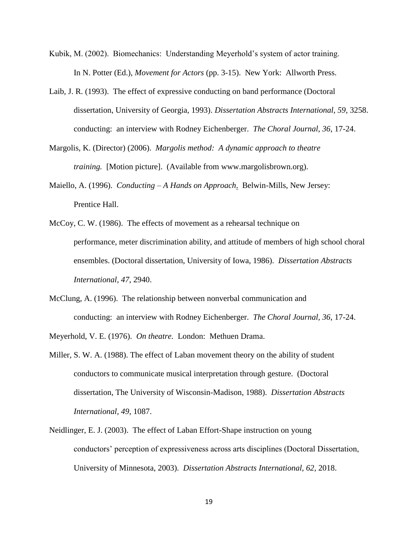- Kubik, M. (2002). Biomechanics: Understanding Meyerhold"s system of actor training. In N. Potter (Ed.), *Movement for Actors* (pp. 3-15). New York: Allworth Press.
- Laib, J. R. (1993). The effect of expressive conducting on band performance (Doctoral dissertation, University of Georgia, 1993). *Dissertation Abstracts International, 59,* 3258. conducting: an interview with Rodney Eichenberger. *The Choral Journal, 36*, 17-24.
- Margolis, K. (Director) (2006). *Margolis method: A dynamic approach to theatre training.* [Motion picture]. (Available from www.margolisbrown.org).
- Maiello, A. (1996). *Conducting – A Hands on Approach*. Belwin-Mills, New Jersey: Prentice Hall.
- McCoy, C. W. (1986). The effects of movement as a rehearsal technique on performance, meter discrimination ability, and attitude of members of high school choral ensembles. (Doctoral dissertation, University of Iowa, 1986). *Dissertation Abstracts International, 47*, 2940.
- McClung, A. (1996). The relationship between nonverbal communication and conducting: an interview with Rodney Eichenberger. *The Choral Journal, 36*, 17-24.
- Meyerhold, V. E. (1976). *On theatre.* London: Methuen Drama.
- Miller, S. W. A. (1988). The effect of Laban movement theory on the ability of student conductors to communicate musical interpretation through gesture. (Doctoral dissertation, The University of Wisconsin-Madison, 1988). *Dissertation Abstracts International, 49,* 1087.
- Neidlinger, E. J. (2003). The effect of Laban Effort-Shape instruction on young conductors" perception of expressiveness across arts disciplines (Doctoral Dissertation, University of Minnesota, 2003). *Dissertation Abstracts International, 62,* 2018.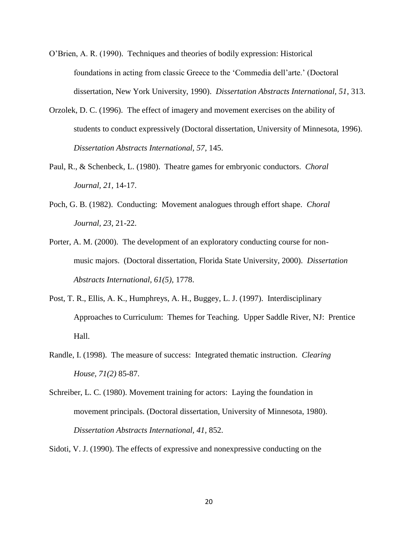O"Brien, A. R. (1990). Techniques and theories of bodily expression: Historical foundations in acting from classic Greece to the "Commedia dell"arte." (Doctoral dissertation, New York University, 1990). *Dissertation Abstracts International, 51*, 313.

- Orzolek, D. C. (1996). The effect of imagery and movement exercises on the ability of students to conduct expressively (Doctoral dissertation, University of Minnesota, 1996). *Dissertation Abstracts International, 57*, 145.
- Paul, R., & Schenbeck, L. (1980). Theatre games for embryonic conductors. *Choral Journal, 21,* 14-17.
- Poch, G. B. (1982). Conducting: Movement analogues through effort shape. *Choral Journal, 23*, 21-22.
- Porter, A. M. (2000). The development of an exploratory conducting course for nonmusic majors. (Doctoral dissertation, Florida State University, 2000). *Dissertation Abstracts International, 61(5),* 1778.
- Post, T. R., Ellis, A. K., Humphreys, A. H., Buggey, L. J. (1997). Interdisciplinary Approaches to Curriculum: Themes for Teaching. Upper Saddle River, NJ: Prentice Hall.
- Randle, I. (1998). The measure of success: Integrated thematic instruction. *Clearing House, 71(2)* 85-87.
- Schreiber, L. C. (1980). Movement training for actors: Laying the foundation in movement principals. (Doctoral dissertation, University of Minnesota, 1980). *Dissertation Abstracts International, 41,* 852.

Sidoti, V. J. (1990). The effects of expressive and nonexpressive conducting on the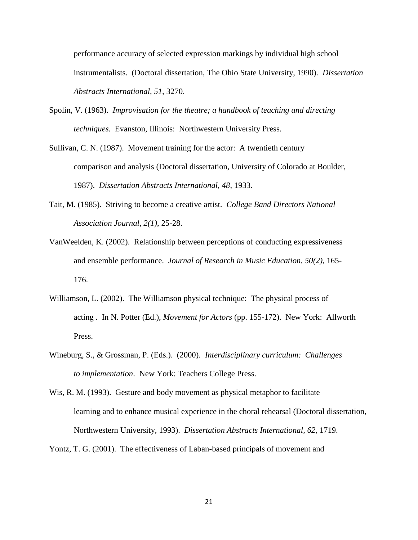performance accuracy of selected expression markings by individual high school instrumentalists. (Doctoral dissertation, The Ohio State University, 1990). *Dissertation Abstracts International, 51,* 3270.

- Spolin, V. (1963). *Improvisation for the theatre; a handbook of teaching and directing techniques.* Evanston, Illinois: Northwestern University Press.
- Sullivan, C. N. (1987). Movement training for the actor: A twentieth century comparison and analysis (Doctoral dissertation, University of Colorado at Boulder, 1987). *Dissertation Abstracts International, 48*, 1933.
- Tait, M. (1985). Striving to become a creative artist. *College Band Directors National Association Journal, 2(1)*, 25-28.
- VanWeelden, K. (2002). Relationship between perceptions of conducting expressiveness and ensemble performance. *Journal of Research in Music Education, 50(2)*, 165- 176.
- Williamson, L. (2002). The Williamson physical technique: The physical process of acting . In N. Potter (Ed.), *Movement for Actors* (pp. 155-172). New York: Allworth Press.
- Wineburg, S., & Grossman, P. (Eds.). (2000). *Interdisciplinary curriculum: Challenges to implementation*. New York: Teachers College Press.
- Wis, R. M. (1993). Gesture and body movement as physical metaphor to facilitate learning and to enhance musical experience in the choral rehearsal (Doctoral dissertation, Northwestern University, 1993). *Dissertation Abstracts International, 62*, 1719.

Yontz, T. G. (2001). The effectiveness of Laban-based principals of movement and